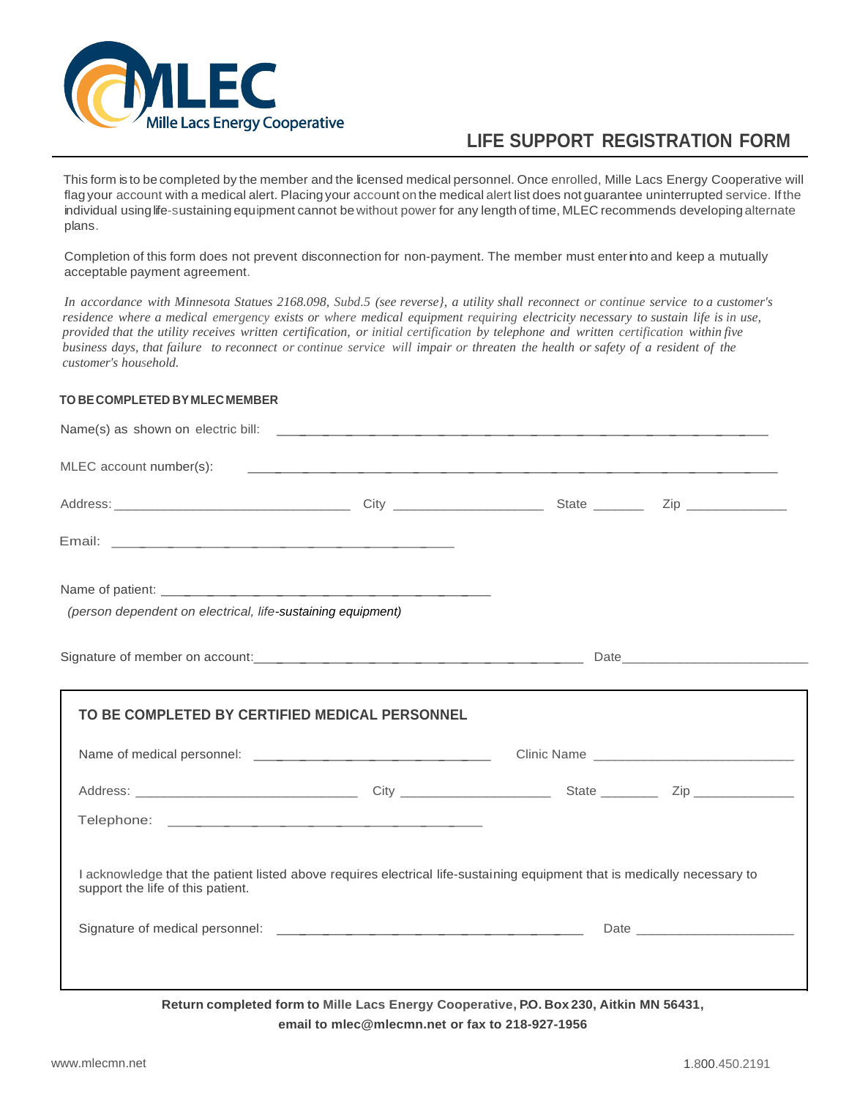

## **LIFE SUPPORT REGISTRATION FORM**

This form is to be completed by the member and the licensed medical personnel. Once enrolled, Mille Lacs Energy Cooperative will flag your account with a medical alert. Placing your account on the medical alert list does not guarantee uninterrupted service. Ifthe individual using life-sustaining equipment cannot bewithout power for any length of time, MLEC recommends developing alternate plans.

Completion of this form does not prevent disconnection for non-payment. The member must enter into and keep a mutually acceptable payment agreement.

*In accordance with Minnesota Statues 2168.098, Subd.5 (see reverse}, a utility shall reconnect or continue service to a customer's residence where a medical emergency exists or where medical equipment requiring electricity necessary to sustain life is in use, provided that the utility receives written certification, or initial certification by telephone and written certification within five business days, that failure to reconnect or continue service will impair or threaten the health or safety of a resident of the customer's household.*

## **TO BE COMPLETED BY MLEC MEMBER**

| Email: No. 2008. And 2008. And 2008. And 2008. And 2008. And 2008. And 2008. And 2008. And 2008. And 2008. And                                                |  |  |  |
|---------------------------------------------------------------------------------------------------------------------------------------------------------------|--|--|--|
|                                                                                                                                                               |  |  |  |
| (person dependent on electrical, life-sustaining equipment)                                                                                                   |  |  |  |
|                                                                                                                                                               |  |  |  |
|                                                                                                                                                               |  |  |  |
|                                                                                                                                                               |  |  |  |
|                                                                                                                                                               |  |  |  |
|                                                                                                                                                               |  |  |  |
| I acknowledge that the patient listed above requires electrical life-sustaining equipment that is medically necessary to<br>support the life of this patient. |  |  |  |

**Return completed form to Mille Lacs Energy Cooperative, P.O. Box 230, Aitkin MN 56431, email to mlec@mlecmn.net or fax to 218-927-1956**